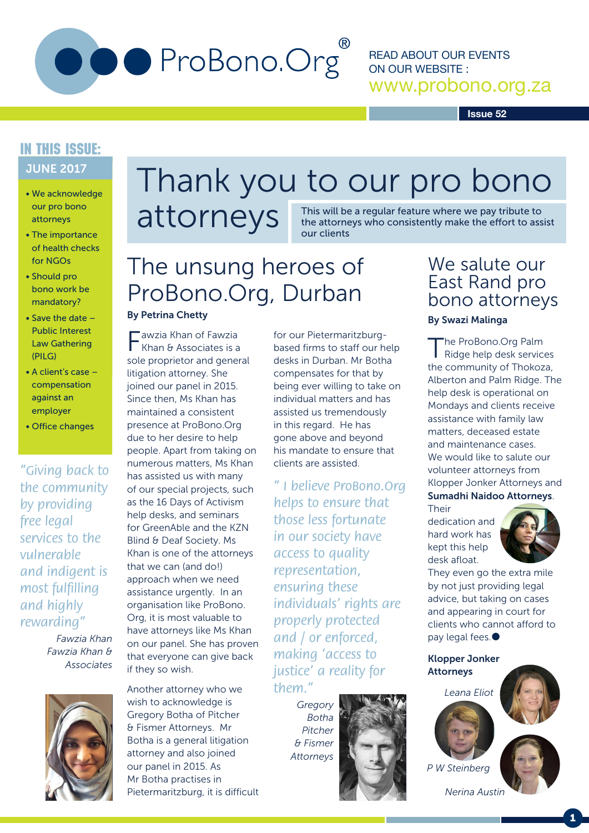

READ ABOUT OUR EVENTS ON OUR WEBSITE : www.probono.org.za

**Issue 52**

### JUNE 2017 IN THIS ISSUE:

- We acknowledge our pro bono attorneys
- The importance of health checks for NGOs
- Should pro bono work be mandatory?
- Save the date Public Interest Law Gathering (PILG)
- A client's case compensation against an employer
- Office changes

*"Giving back to the community by providing free legal services to the vulnerable and indigent is most fulfilling and highly rewarding"*

> *Fawzia Khan Fawzia Khan & Associates*



# Thank you to our pro bono

attorneys

This will be a regular feature where we pay tribute to the attorneys who consistently make the effort to assist our clients

## The unsung heroes of ProBono.Org, Durban

#### By Petrina Chetty

Fawzia Khan of Fawzia Khan & Associates is a sole proprietor and general litigation attorney. She joined our panel in 2015. Since then, Ms Khan has maintained a consistent presence at ProBono.Org due to her desire to help people. Apart from taking on numerous matters, Ms Khan has assisted us with many of our special projects, such as the 16 Days of Activism help desks, and seminars for GreenAble and the KZN Blind & Deaf Society. Ms Khan is one of the attorneys that we can (and do!) approach when we need assistance urgently. In an organisation like ProBono. Org, it is most valuable to have attorneys like Ms Khan on our panel. She has proven that everyone can give back if they so wish.

Another attorney who we wish to acknowledge is Gregory Botha of Pitcher & Fismer Attorneys. Mr Botha is a general litigation attorney and also joined our panel in 2015. As Mr Botha practises in Pietermaritzburg, it is difficult for our Pietermaritzburgbased firms to staff our help desks in Durban. Mr Botha compensates for that by being ever willing to take on individual matters and has assisted us tremendously in this regard. He has gone above and beyond his mandate to ensure that clients are assisted.

*" I believe ProBono.Org helps to ensure that those less fortunate in our society have access to quality representation, ensuring these individuals' rights are properly protected and / or enforced, making 'access to justice' a reality for them."*

> *Gregory Botha Pitcher & Fismer Attorneys*

## We salute our East Rand pro bono attorneys

#### By Swazi Malinga

The ProBono.Org Palm Ridge help desk services the community of Thokoza, Alberton and Palm Ridge. The help desk is operational on Mondays and clients receive assistance with family law matters, deceased estate and maintenance cases. We would like to salute our volunteer attorneys from Klopper Jonker Attorneys and Sumadhi Naidoo Attorneys.

Their

dedication and hard work has kept this help desk afloat.



They even go the extra mile by not just providing legal advice, but taking on cases and appearing in court for clients who cannot afford to pay legal fees.

Klopper Jonker Attorneys

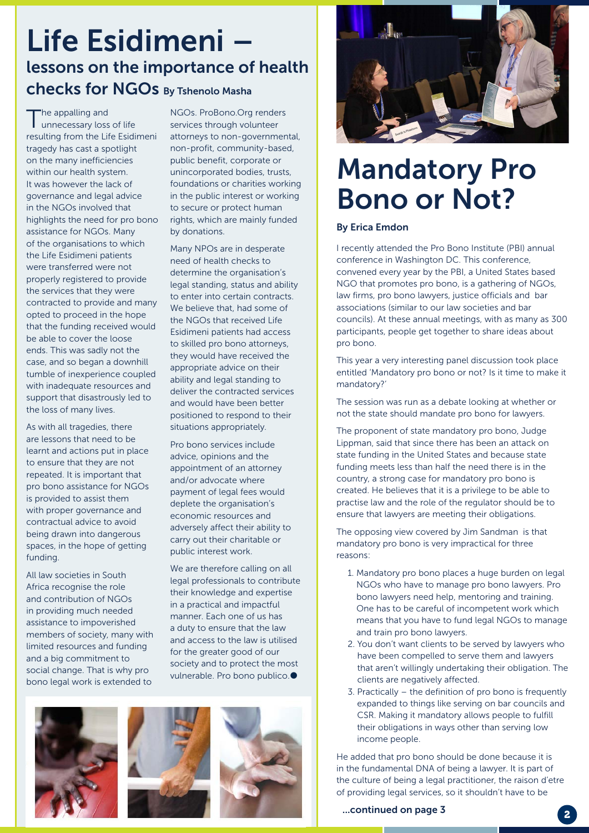## Life Esidimeni – lessons on the importance of health checks for NGOs By Tshenolo Masha

The appalling and<br>
unnecessary loss of life resulting from the Life Esidimeni tragedy has cast a spotlight on the many inefficiencies within our health system. It was however the lack of governance and legal advice in the NGOs involved that highlights the need for pro bono assistance for NGOs. Many of the organisations to which the Life Esidimeni patients were transferred were not properly registered to provide the services that they were contracted to provide and many opted to proceed in the hope that the funding received would be able to cover the loose ends. This was sadly not the case, and so began a downhill tumble of inexperience coupled with inadequate resources and support that disastrously led to the loss of many lives.

As with all tragedies, there are lessons that need to be learnt and actions put in place to ensure that they are not repeated. It is important that pro bono assistance for NGOs is provided to assist them with proper governance and contractual advice to avoid being drawn into dangerous spaces, in the hope of getting funding.

All law societies in South Africa recognise the role and contribution of NGOs in providing much needed assistance to impoverished members of society, many with limited resources and funding and a big commitment to social change. That is why pro bono legal work is extended to

NGOs. ProBono.Org renders services through volunteer attorneys to non-governmental, non-profit, community-based, public benefit, corporate or unincorporated bodies, trusts, foundations or charities working in the public interest or working to secure or protect human rights, which are mainly funded by donations.

Many NPOs are in desperate need of health checks to determine the organisation's legal standing, status and ability to enter into certain contracts. We believe that, had some of the NGOs that received Life Esidimeni patients had access to skilled pro bono attorneys, they would have received the appropriate advice on their ability and legal standing to deliver the contracted services and would have been better positioned to respond to their situations appropriately.

Pro bono services include advice, opinions and the appointment of an attorney and/or advocate where payment of legal fees would deplete the organisation's economic resources and adversely affect their ability to carry out their charitable or public interest work.

We are therefore calling on all legal professionals to contribute their knowledge and expertise in a practical and impactful manner. Each one of us has a duty to ensure that the law and access to the law is utilised for the greater good of our society and to protect the most vulnerable. Pro bono publico.





# Mandatory Pro Bono or Not?

#### By Erica Emdon

I recently attended the Pro Bono Institute (PBI) annual conference in Washington DC. This conference, convened every year by the PBI, a United States based NGO that promotes pro bono, is a gathering of NGOs, law firms, pro bono lawyers, justice officials and bar associations (similar to our law societies and bar councils). At these annual meetings, with as many as 300 participants, people get together to share ideas about pro bono.

This year a very interesting panel discussion took place entitled 'Mandatory pro bono or not? Is it time to make it mandatory?'

The session was run as a debate looking at whether or not the state should mandate pro bono for lawyers.

The proponent of state mandatory pro bono, Judge Lippman, said that since there has been an attack on state funding in the United States and because state funding meets less than half the need there is in the country, a strong case for mandatory pro bono is created. He believes that it is a privilege to be able to practise law and the role of the regulator should be to ensure that lawyers are meeting their obligations.

The opposing view covered by Jim Sandman is that mandatory pro bono is very impractical for three reasons:

- 1. Mandatory pro bono places a huge burden on legal NGOs who have to manage pro bono lawyers. Pro bono lawyers need help, mentoring and training. One has to be careful of incompetent work which means that you have to fund legal NGOs to manage and train pro bono lawyers.
- 2. You don't want clients to be served by lawyers who have been compelled to serve them and lawyers that aren't willingly undertaking their obligation. The clients are negatively affected.
- 3. Practically the definition of pro bono is frequently expanded to things like serving on bar councils and CSR. Making it mandatory allows people to fulfill their obligations in ways other than serving low income people.

He added that pro bono should be done because it is in the fundamental DNA of being a lawyer. It is part of the culture of being a legal practitioner, the raison d'etre of providing legal services, so it shouldn't have to be

...continued on page 3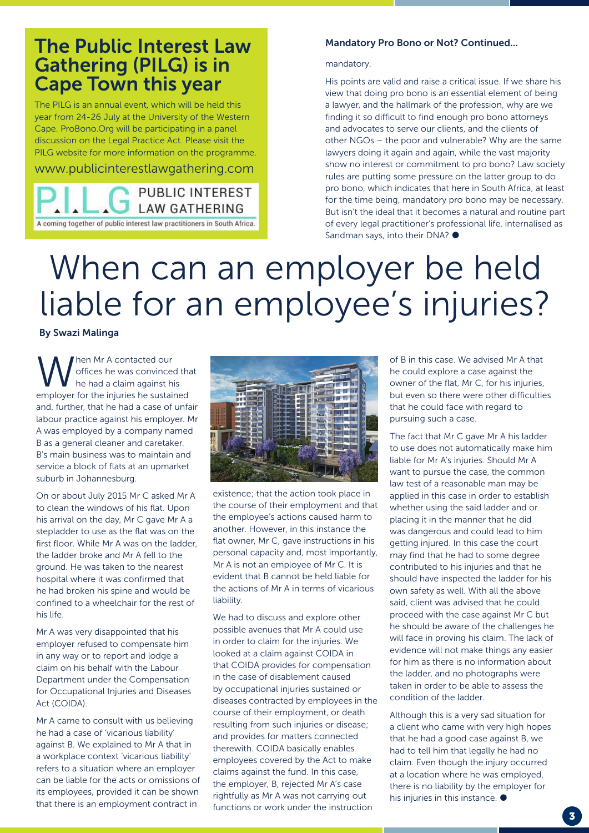## The Public Interest Law Gathering (PILG) is in Cape Town this year

The PILG is an annual event, which will be held this year from 24-26 July at the University of the Western Cape. ProBono.Org will be participating in a panel discussion on the Legal Practice Act. Please visit the PILG website for more information on the programme.

www.publicinterestlawgathering.com



#### Mandatory Pro Bono or Not? Continued...

mandatory.

His points are valid and raise a critical issue. If we share his view that doing pro bono is an essential element of being a lawyer, and the hallmark of the profession, why are we finding it so difficult to find enough pro bono attorneys and advocates to serve our clients, and the clients of other NGOs – the poor and vulnerable? Why are the same lawyers doing it again and again, while the vast majority show no interest or commitment to pro bono? Law society rules are putting some pressure on the latter group to do pro bono, which indicates that here in South Africa, at least for the time being, mandatory pro bono may be necessary. But isn't the ideal that it becomes a natural and routine part of every legal practitioner's professional life, internalised as Sandman says, into their DNA?  $\bullet$ 

# When can an employer be held liable for an employee's injuries?

#### By Swazi Malinga

When Mr A contacted our<br>the had a claim against his<br>comployer for the injuries be sustained offices he was convinced that he had a claim against his employer for the injuries he sustained and, further, that he had a case of unfair labour practice against his employer. Mr A was employed by a company named B as a general cleaner and caretaker. B's main business was to maintain and service a block of flats at an upmarket suburb in Johannesburg.

On or about July 2015 Mr C asked Mr A to clean the windows of his flat. Upon his arrival on the day, Mr C gave Mr A a stepladder to use as the flat was on the first floor. While Mr A was on the ladder, the ladder broke and Mr A fell to the ground. He was taken to the nearest hospital where it was confirmed that he had broken his spine and would be confined to a wheelchair for the rest of his life.

Mr A was very disappointed that his employer refused to compensate him in any way or to report and lodge a claim on his behalf with the Labour Department under the Compensation for Occupational Injuries and Diseases Act (COIDA).

Mr A came to consult with us believing he had a case of 'vicarious liability' against B. We explained to Mr A that in a workplace context 'vicarious liability' refers to a situation where an employer can be liable for the acts or omissions of its employees, provided it can be shown that there is an employment contract in



existence; that the action took place in the course of their employment and that the employee's actions caused harm to another. However, in this instance the flat owner, Mr C, gave instructions in his personal capacity and, most importantly, Mr A is not an employee of Mr C. It is evident that B cannot be held liable for the actions of Mr A in terms of vicarious liability.

We had to discuss and explore other possible avenues that Mr A could use in order to claim for the injuries. We looked at a claim against COIDA in that COIDA provides for compensation in the case of disablement caused by occupational injuries sustained or diseases contracted by employees in the course of their employment, or death resulting from such injuries or disease; and provides for matters connected therewith. COIDA basically enables employees covered by the Act to make claims against the fund. In this case, the employer, B, rejected Mr A's case rightfully as Mr A was not carrying out functions or work under the instruction

of B in this case. We advised Mr A that he could explore a case against the owner of the flat, Mr C, for his injuries, but even so there were other difficulties that he could face with regard to pursuing such a case.

The fact that Mr C gave Mr A his ladder to use does not automatically make him liable for Mr A's injuries. Should Mr A want to pursue the case, the common law test of a reasonable man may be applied in this case in order to establish whether using the said ladder and or placing it in the manner that he did was dangerous and could lead to him getting injured. In this case the court may find that he had to some degree contributed to his injuries and that he should have inspected the ladder for his own safety as well. With all the above said, client was advised that he could proceed with the case against Mr C but he should be aware of the challenges he will face in proving his claim. The lack of evidence will not make things any easier for him as there is no information about the ladder, and no photographs were taken in order to be able to assess the condition of the ladder.

Although this is a very sad situation for a client who came with very high hopes that he had a good case against B, we had to tell him that legally he had no claim. Even though the injury occurred at a location where he was employed, there is no liability by the employer for his injuries in this instance.  $\bullet$